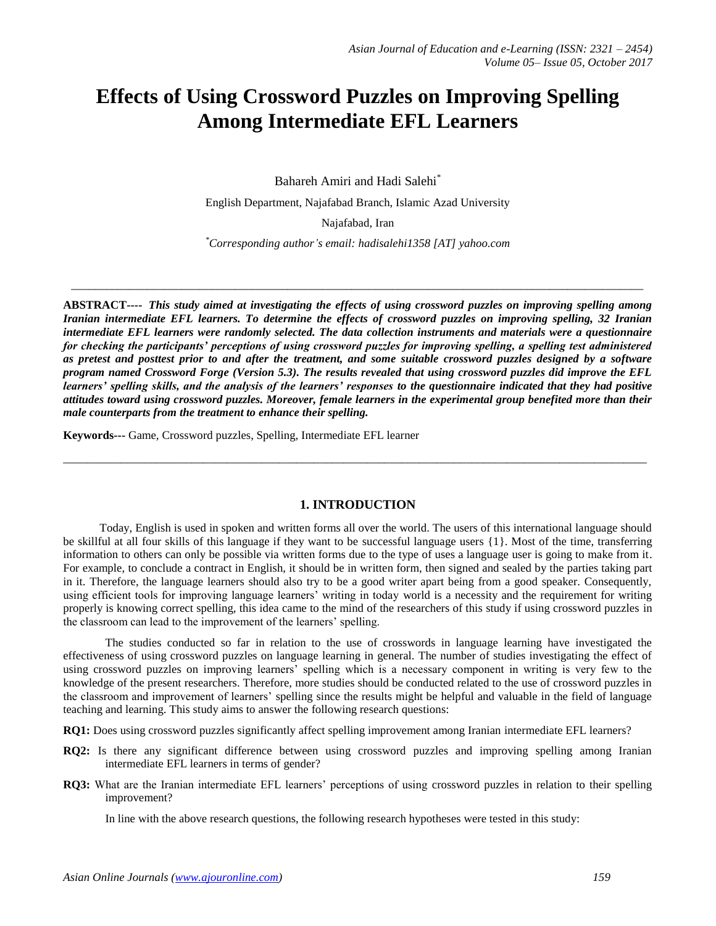# **Effects of Using Crossword Puzzles on Improving Spelling Among Intermediate EFL Learners**

Bahareh Amiri and Hadi Salehi\*

English Department, Najafabad Branch, Islamic Azad University

Najafabad, Iran

*\*Corresponding author's email: hadisalehi1358 [AT] yahoo.com*

*\_\_\_\_\_\_\_\_\_\_\_\_\_\_\_\_\_\_\_\_\_\_\_\_\_\_\_\_\_\_\_\_\_\_\_\_\_\_\_\_\_\_\_\_\_\_\_\_\_\_\_\_\_\_\_\_\_\_\_\_\_\_\_\_\_\_\_\_\_\_\_\_\_\_\_\_\_\_\_\_\_\_\_\_\_\_\_\_\_\_\_\_\_\_\_\_\_\_*

**ABSTRACT----** *This study aimed at investigating the effects of using crossword puzzles on improving spelling among Iranian intermediate EFL learners. To determine the effects of crossword puzzles on improving spelling, 32 Iranian intermediate EFL learners were randomly selected. The data collection instruments and materials were a questionnaire for checking the participants' perceptions of using crossword puzzles for improving spelling, a spelling test administered as pretest and posttest prior to and after the treatment, and some suitable crossword puzzles designed by a software program named Crossword Forge (Version 5.3). The results revealed that using crossword puzzles did improve the EFL learners' spelling skills, and the analysis of the learners' responses to the questionnaire indicated that they had positive attitudes toward using crossword puzzles. Moreover, female learners in the experimental group benefited more than their male counterparts from the treatment to enhance their spelling.*

**Keywords---** Game, Crossword puzzles, Spelling, Intermediate EFL learner

### **1. INTRODUCTION**

\_\_\_\_\_\_\_\_\_\_\_\_\_\_\_\_\_\_\_\_\_\_\_\_\_\_\_\_\_\_\_\_\_\_\_\_\_\_\_\_\_\_\_\_\_\_\_\_\_\_\_\_\_\_\_\_\_\_\_\_\_\_\_\_\_\_\_\_\_\_\_\_\_\_\_\_\_\_\_\_\_\_\_\_\_\_\_\_\_\_\_\_\_\_\_\_\_\_\_\_

Today, English is used in spoken and written forms all over the world. The users of this international language should be skillful at all four skills of this language if they want to be successful language users {1}. Most of the time, transferring information to others can only be possible via written forms due to the type of uses a language user is going to make from it. For example, to conclude a contract in English, it should be in written form, then signed and sealed by the parties taking part in it. Therefore, the language learners should also try to be a good writer apart being from a good speaker. Consequently, using efficient tools for improving language learners' writing in today world is a necessity and the requirement for writing properly is knowing correct spelling, this idea came to the mind of the researchers of this study if using crossword puzzles in the classroom can lead to the improvement of the learners' spelling.

The studies conducted so far in relation to the use of crosswords in language learning have investigated the effectiveness of using crossword puzzles on language learning in general. The number of studies investigating the effect of using crossword puzzles on improving learners' spelling which is a necessary component in writing is very few to the knowledge of the present researchers. Therefore, more studies should be conducted related to the use of crossword puzzles in the classroom and improvement of learners' spelling since the results might be helpful and valuable in the field of language teaching and learning. This study aims to answer the following research questions:

**RQ1:** Does using crossword puzzles significantly affect spelling improvement among Iranian intermediate EFL learners?

- **RQ2:** Is there any significant difference between using crossword puzzles and improving spelling among Iranian intermediate EFL learners in terms of gender?
- **RQ3:** What are the Iranian intermediate EFL learners' perceptions of using crossword puzzles in relation to their spelling improvement?

In line with the above research questions, the following research hypotheses were tested in this study: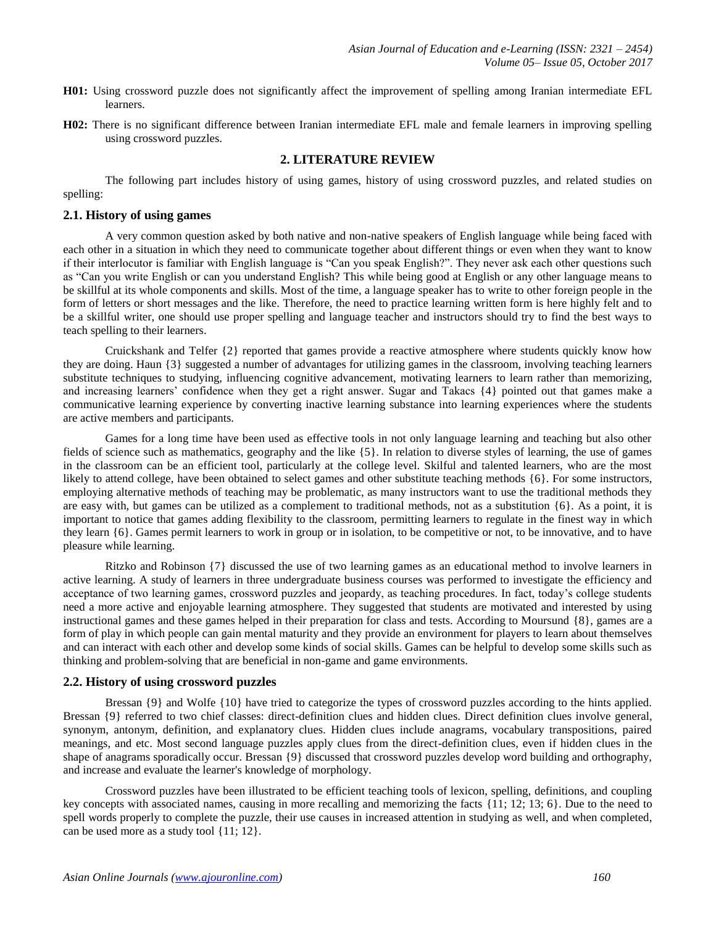- **H01:** Using crossword puzzle does not significantly affect the improvement of spelling among Iranian intermediate EFL learners.
- **H02:** There is no significant difference between Iranian intermediate EFL male and female learners in improving spelling using crossword puzzles.

## **2. LITERATURE REVIEW**

The following part includes history of using games, history of using crossword puzzles, and related studies on spelling:

#### **2.1. History of using games**

A very common question asked by both native and non-native speakers of English language while being faced with each other in a situation in which they need to communicate together about different things or even when they want to know if their interlocutor is familiar with English language is "Can you speak English?". They never ask each other questions such as "Can you write English or can you understand English? This while being good at English or any other language means to be skillful at its whole components and skills. Most of the time, a language speaker has to write to other foreign people in the form of letters or short messages and the like. Therefore, the need to practice learning written form is here highly felt and to be a skillful writer, one should use proper spelling and language teacher and instructors should try to find the best ways to teach spelling to their learners.

Cruickshank and Telfer {2} reported that games provide a reactive atmosphere where students quickly know how they are doing. Haun {3} suggested a number of advantages for utilizing games in the classroom, involving teaching learners substitute techniques to studying, influencing cognitive advancement, motivating learners to learn rather than memorizing, and increasing learners' confidence when they get a right answer. Sugar and Takacs {4} pointed out that games make a communicative learning experience by converting inactive learning substance into learning experiences where the students are active members and participants.

Games for a long time have been used as effective tools in not only language learning and teaching but also other fields of science such as mathematics, geography and the like {5}. In relation to diverse styles of learning, the use of games in the classroom can be an efficient tool, particularly at the college level. Skilful and talented learners, who are the most likely to attend college, have been obtained to select games and other substitute teaching methods {6}. For some instructors, employing alternative methods of teaching may be problematic, as many instructors want to use the traditional methods they are easy with, but games can be utilized as a complement to traditional methods, not as a substitution {6}. As a point, it is important to notice that games adding flexibility to the classroom, permitting learners to regulate in the finest way in which they learn {6}. Games permit learners to work in group or in isolation, to be competitive or not, to be innovative, and to have pleasure while learning.

Ritzko and Robinson {7} discussed the use of two learning games as an educational method to involve learners in active learning. A study of learners in three undergraduate business courses was performed to investigate the efficiency and acceptance of two learning games, crossword puzzles and jeopardy, as teaching procedures. In fact, today's college students need a more active and enjoyable learning atmosphere. They suggested that students are motivated and interested by using instructional games and these games helped in their preparation for class and tests. According to Moursund {8}, games are a form of play in which people can gain mental maturity and they provide an environment for players to learn about themselves and can interact with each other and develop some kinds of social skills. Games can be helpful to develop some skills such as thinking and problem-solving that are beneficial in non-game and game environments.

## **2.2. History of using crossword puzzles**

Bressan  $\{9\}$  and Wolfe  $\{10\}$  have tried to categorize the types of crossword puzzles according to the hints applied. Bressan {9} referred to two chief classes: direct-definition clues and hidden clues. Direct definition clues involve general, synonym, antonym, definition, and explanatory clues. Hidden clues include anagrams, vocabulary transpositions, paired meanings, and etc. Most second language puzzles apply clues from the direct-definition clues, even if hidden clues in the shape of anagrams sporadically occur. Bressan {9} discussed that crossword puzzles develop word building and orthography, and increase and evaluate the learner's knowledge of morphology.

Crossword puzzles have been illustrated to be efficient teaching tools of lexicon, spelling, definitions, and coupling key concepts with associated names, causing in more recalling and memorizing the facts {11; 12; 13; 6}. Due to the need to spell words properly to complete the puzzle, their use causes in increased attention in studying as well, and when completed, can be used more as a study tool {11; 12}.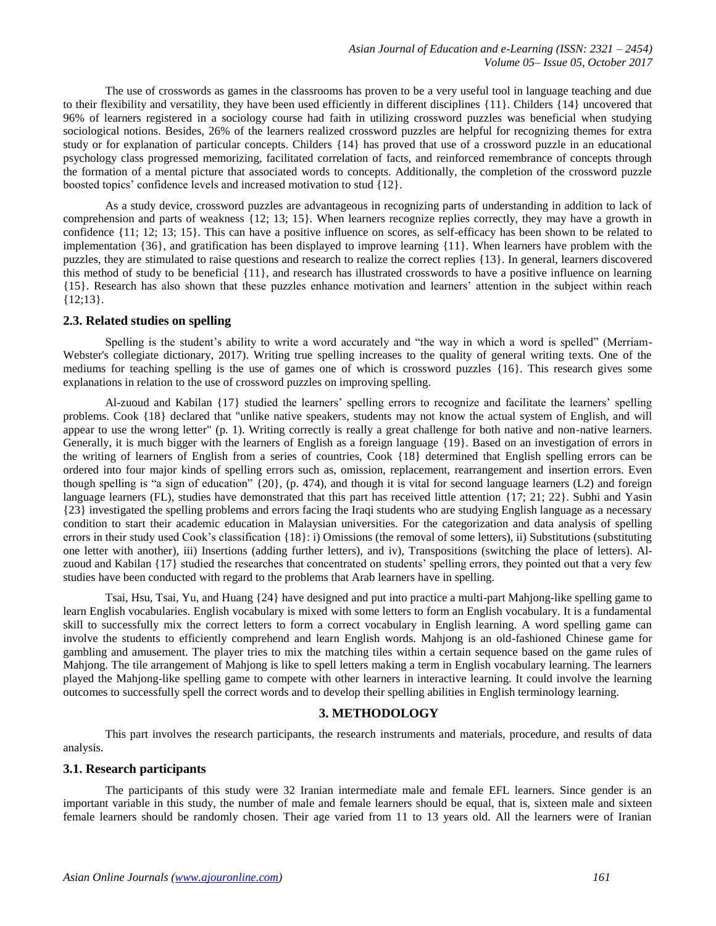The use of crosswords as games in the classrooms has proven to be a very useful tool in language teaching and due to their flexibility and versatility, they have been used efficiently in different disciplines {11}. Childers {14} uncovered that 96% of learners registered in a sociology course had faith in utilizing crossword puzzles was beneficial when studying sociological notions. Besides, 26% of the learners realized crossword puzzles are helpful for recognizing themes for extra study or for explanation of particular concepts. Childers {14} has proved that use of a crossword puzzle in an educational psychology class progressed memorizing, facilitated correlation of facts, and reinforced remembrance of concepts through the formation of a mental picture that associated words to concepts. Additionally, the completion of the crossword puzzle boosted topics' confidence levels and increased motivation to stud {12}.

As a study device, crossword puzzles are advantageous in recognizing parts of understanding in addition to lack of comprehension and parts of weakness {12; 13; 15}. When learners recognize replies correctly, they may have a growth in confidence {11; 12; 13; 15}. This can have a positive influence on scores, as self-efficacy has been shown to be related to implementation {36}, and gratification has been displayed to improve learning {11}. When learners have problem with the puzzles, they are stimulated to raise questions and research to realize the correct replies {13}. In general, learners discovered this method of study to be beneficial {11}, and research has illustrated crosswords to have a positive influence on learning {15}. Research has also shown that these puzzles enhance motivation and learners' attention in the subject within reach {12;13}.

### **2.3. Related studies on spelling**

Spelling is the student's ability to write a word accurately and "the way in which a word is spelled" (Merriam-Webster's collegiate dictionary, 2017). Writing true spelling increases to the quality of general writing texts. One of the mediums for teaching spelling is the use of games one of which is crossword puzzles {16}. This research gives some explanations in relation to the use of crossword puzzles on improving spelling.

Al-zuoud and Kabilan {17} studied the learners' spelling errors to recognize and facilitate the learners' spelling problems. Cook {18} declared that "unlike native speakers, students may not know the actual system of English, and will appear to use the wrong letter" (p. 1). Writing correctly is really a great challenge for both native and non-native learners. Generally, it is much bigger with the learners of English as a foreign language {19}. Based on an investigation of errors in the writing of learners of English from a series of countries, Cook {18} determined that English spelling errors can be ordered into four major kinds of spelling errors such as, omission, replacement, rearrangement and insertion errors. Even though spelling is "a sign of education" {20}, (p. 474), and though it is vital for second language learners (L2) and foreign language learners (FL), studies have demonstrated that this part has received little attention {17; 21; 22}. Subhi and Yasin {23} investigated the spelling problems and errors facing the Iraqi students who are studying English language as a necessary condition to start their academic education in Malaysian universities. For the categorization and data analysis of spelling errors in their study used Cook's classification {18}: i) Omissions (the removal of some letters), ii) Substitutions (substituting one letter with another), iii) Insertions (adding further letters), and iv), Transpositions (switching the place of letters). Alzuoud and Kabilan {17} studied the researches that concentrated on students' spelling errors, they pointed out that a very few studies have been conducted with regard to the problems that Arab learners have in spelling.

Tsai, Hsu, Tsai, Yu, and Huang {24} have designed and put into practice a multi-part Mahjong-like spelling game to learn English vocabularies. English vocabulary is mixed with some letters to form an English vocabulary. It is a fundamental skill to successfully mix the correct letters to form a correct vocabulary in English learning. A word spelling game can involve the students to efficiently comprehend and learn English words. Mahjong is an old-fashioned Chinese game for gambling and amusement. The player tries to mix the matching tiles within a certain sequence based on the game rules of Mahjong. The tile arrangement of Mahjong is like to spell letters making a term in English vocabulary learning. The learners played the Mahjong-like spelling game to compete with other learners in interactive learning. It could involve the learning outcomes to successfully spell the correct words and to develop their spelling abilities in English terminology learning.

# **3. METHODOLOGY**

This part involves the research participants, the research instruments and materials, procedure, and results of data analysis.

## **3.1. Research participants**

The participants of this study were 32 Iranian intermediate male and female EFL learners. Since gender is an important variable in this study, the number of male and female learners should be equal, that is, sixteen male and sixteen female learners should be randomly chosen. Their age varied from 11 to 13 years old. All the learners were of Iranian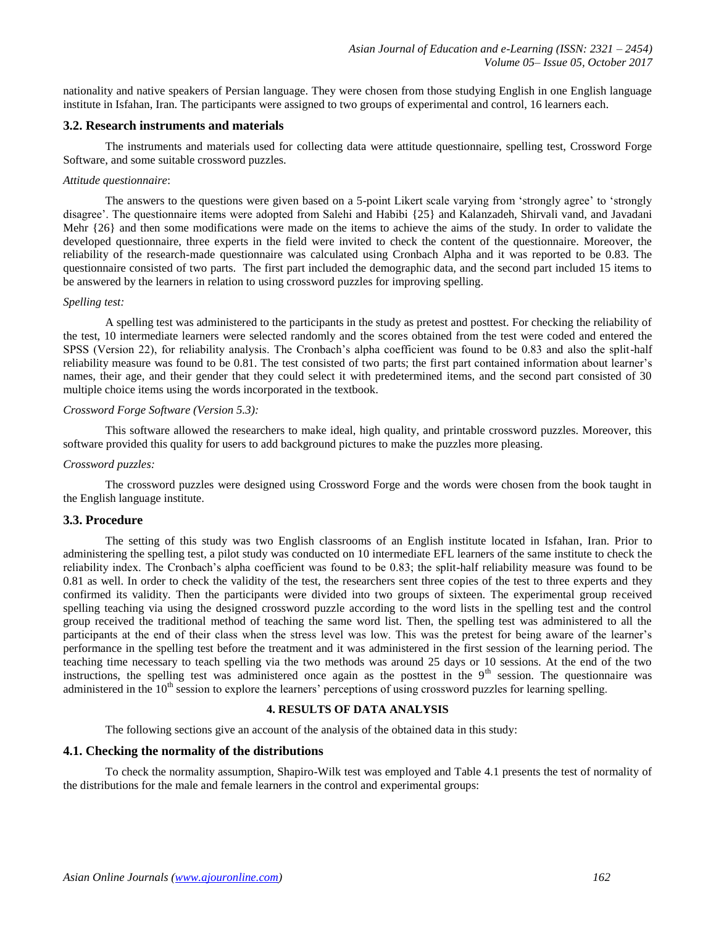nationality and native speakers of Persian language. They were chosen from those studying English in one English language institute in Isfahan, Iran. The participants were assigned to two groups of experimental and control, 16 learners each.

## **3.2. Research instruments and materials**

The instruments and materials used for collecting data were attitude questionnaire, spelling test, Crossword Forge Software, and some suitable crossword puzzles.

#### *Attitude questionnaire*:

The answers to the questions were given based on a 5-point Likert scale varying from 'strongly agree' to 'strongly disagree'. The questionnaire items were adopted from Salehi and Habibi {25} and Kalanzadeh, Shirvali vand, and Javadani Mehr {26} and then some modifications were made on the items to achieve the aims of the study. In order to validate the developed questionnaire, three experts in the field were invited to check the content of the questionnaire. Moreover, the reliability of the research-made questionnaire was calculated using Cronbach Alpha and it was reported to be 0.83. The questionnaire consisted of two parts. The first part included the demographic data, and the second part included 15 items to be answered by the learners in relation to using crossword puzzles for improving spelling.

## *Spelling test:*

A spelling test was administered to the participants in the study as pretest and posttest. For checking the reliability of the test, 10 intermediate learners were selected randomly and the scores obtained from the test were coded and entered the SPSS (Version 22), for reliability analysis. The Cronbach's alpha coefficient was found to be 0.83 and also the split-half reliability measure was found to be 0.81. The test consisted of two parts; the first part contained information about learner's names, their age, and their gender that they could select it with predetermined items, and the second part consisted of 30 multiple choice items using the words incorporated in the textbook.

## *Crossword Forge Software (Version 5.3):*

This software allowed the researchers to make ideal, high quality, and printable crossword puzzles. Moreover, this software provided this quality for users to add background pictures to make the puzzles more pleasing.

## *Crossword puzzles:*

The crossword puzzles were designed using Crossword Forge and the words were chosen from the book taught in the English language institute.

# **3.3. Procedure**

The setting of this study was two English classrooms of an English institute located in Isfahan, Iran. Prior to administering the spelling test, a pilot study was conducted on 10 intermediate EFL learners of the same institute to check the reliability index. The Cronbach's alpha coefficient was found to be 0.83; the split-half reliability measure was found to be 0.81 as well. In order to check the validity of the test, the researchers sent three copies of the test to three experts and they confirmed its validity. Then the participants were divided into two groups of sixteen. The experimental group received spelling teaching via using the designed crossword puzzle according to the word lists in the spelling test and the control group received the traditional method of teaching the same word list. Then, the spelling test was administered to all the participants at the end of their class when the stress level was low. This was the pretest for being aware of the learner's performance in the spelling test before the treatment and it was administered in the first session of the learning period. The teaching time necessary to teach spelling via the two methods was around 25 days or 10 sessions. At the end of the two instructions, the spelling test was administered once again as the posttest in the 9<sup>th</sup> session. The questionnaire was administered in the  $10<sup>th</sup>$  session to explore the learners' perceptions of using crossword puzzles for learning spelling.

## **4. RESULTS OF DATA ANALYSIS**

The following sections give an account of the analysis of the obtained data in this study:

## **4.1. Checking the normality of the distributions**

To check the normality assumption, Shapiro-Wilk test was employed and Table 4.1 presents the test of normality of the distributions for the male and female learners in the control and experimental groups: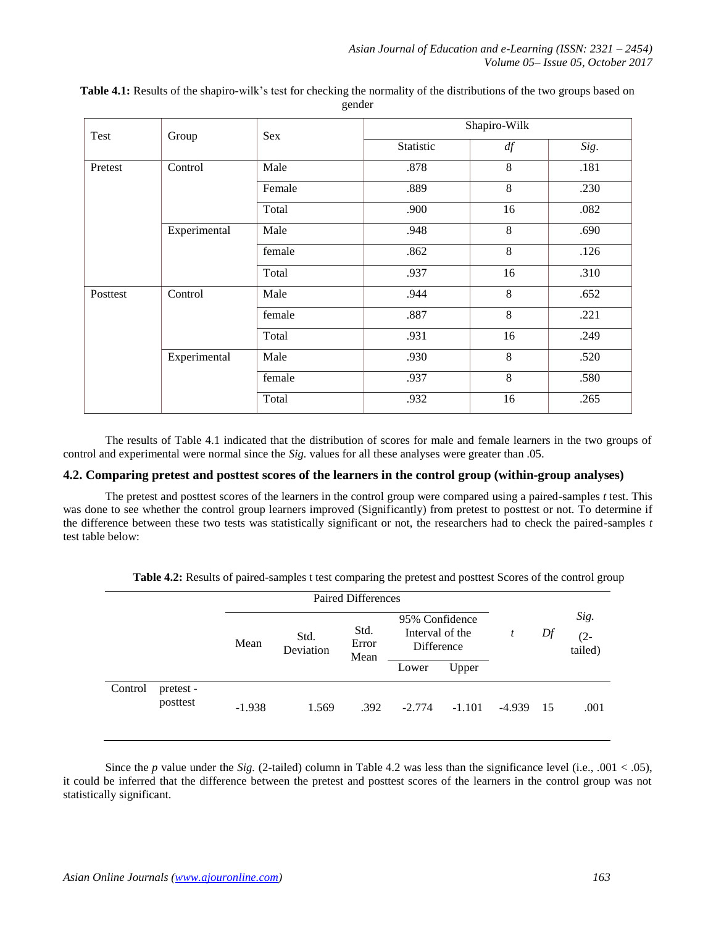| Test     | Group        | Sex    | Shapiro-Wilk |    |      |  |  |
|----------|--------------|--------|--------------|----|------|--|--|
|          |              |        | Statistic    | df | Sig. |  |  |
| Pretest  | Control      | Male   | .878         | 8  | .181 |  |  |
|          |              | Female | .889         | 8  | .230 |  |  |
|          |              | Total  | .900         | 16 | .082 |  |  |
|          | Experimental | Male   | .948         | 8  | .690 |  |  |
|          |              | female | .862         | 8  | .126 |  |  |
|          |              | Total  | .937         | 16 | .310 |  |  |
| Posttest | Control      | Male   | .944         | 8  | .652 |  |  |
|          |              | female | .887         | 8  | .221 |  |  |
|          |              | Total  | .931         | 16 | .249 |  |  |
|          | Experimental | Male   | .930         | 8  | .520 |  |  |
|          |              | female | .937         | 8  | .580 |  |  |
|          |              | Total  | .932         | 16 | .265 |  |  |

**Table 4.1:** Results of the shapiro-wilk's test for checking the normality of the distributions of the two groups based on gender

The results of Table 4.1 indicated that the distribution of scores for male and female learners in the two groups of control and experimental were normal since the *Sig.* values for all these analyses were greater than .05.

# **4.2. Comparing pretest and posttest scores of the learners in the control group (within-group analyses)**

The pretest and posttest scores of the learners in the control group were compared using a paired-samples *t* test. This was done to see whether the control group learners improved (Significantly) from pretest to posttest or not. To determine if the difference between these two tests was statistically significant or not, the researchers had to check the paired-samples *t*  test table below:

|         |                       | <b>Paired Differences</b> |                   |                       |                                                 |          |          |    |                           |
|---------|-----------------------|---------------------------|-------------------|-----------------------|-------------------------------------------------|----------|----------|----|---------------------------|
|         |                       | Mean                      | Std.<br>Deviation | Std.<br>Error<br>Mean | 95% Confidence<br>Interval of the<br>Difference |          |          | Df | Sig.<br>$(2 -$<br>tailed) |
|         |                       |                           |                   |                       | Lower                                           | Upper    |          |    |                           |
| Control | pretest -<br>posttest | $-1.938$                  | 1.569             | .392                  | $-2.774$                                        | $-1.101$ | $-4.939$ | 15 | .001                      |

**Table 4.2:** Results of paired-samples t test comparing the pretest and posttest Scores of the control group

Since the *p* value under the *Sig.* (2-tailed) column in Table 4.2 was less than the significance level (i.e., .001 < .05), it could be inferred that the difference between the pretest and posttest scores of the learners in the control group was not statistically significant.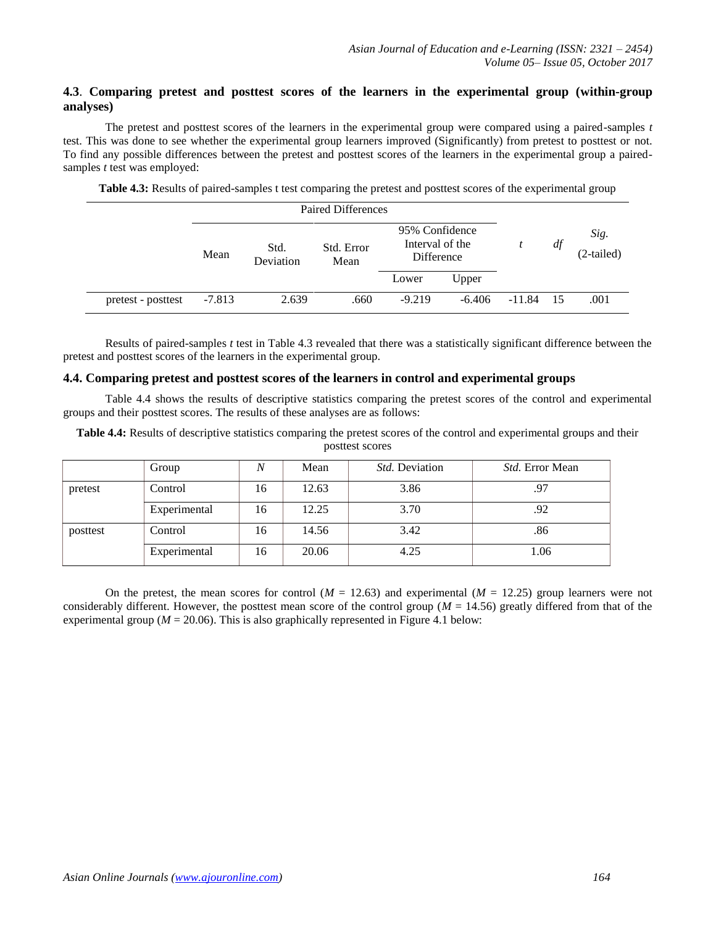# **4.3**. **Comparing pretest and posttest scores of the learners in the experimental group (within-group analyses)**

The pretest and posttest scores of the learners in the experimental group were compared using a paired-samples *t*  test. This was done to see whether the experimental group learners improved (Significantly) from pretest to posttest or not. To find any possible differences between the pretest and posttest scores of the learners in the experimental group a pairedsamples *t* test was employed:

|                    |          |                   | <b>Paired Differences</b> |                                                 |          |          |    |                      |  |  |
|--------------------|----------|-------------------|---------------------------|-------------------------------------------------|----------|----------|----|----------------------|--|--|
|                    | Mean     | Std.<br>Deviation | Std. Error<br>Mean        | 95% Confidence<br>Interval of the<br>Difference |          |          | df | Sig.<br>$(2-tailed)$ |  |  |
|                    |          |                   |                           | Lower                                           | Upper    |          |    |                      |  |  |
| pretest - posttest | $-7.813$ | 2.639             | .660                      | $-9.219$                                        | $-6.406$ | $-11.84$ | 15 | .001                 |  |  |

**Table 4.3:** Results of paired-samples t test comparing the pretest and posttest scores of the experimental group

Results of paired-samples *t* test in Table 4.3 revealed that there was a statistically significant difference between the pretest and posttest scores of the learners in the experimental group.

#### **4.4. Comparing pretest and posttest scores of the learners in control and experimental groups**

Table 4.4 shows the results of descriptive statistics comparing the pretest scores of the control and experimental groups and their posttest scores. The results of these analyses are as follows:

**Table 4.4:** Results of descriptive statistics comparing the pretest scores of the control and experimental groups and their posttest scores

|          | Group        |    | Mean  | <i>Std.</i> Deviation | <i>Std.</i> Error Mean |
|----------|--------------|----|-------|-----------------------|------------------------|
| pretest  | Control      | 16 | 12.63 | 3.86                  | .97                    |
|          | Experimental | 16 | 12.25 | 3.70                  | .92                    |
| posttest | Control      | 16 | 14.56 | 3.42                  | .86                    |
|          | Experimental | 16 | 20.06 | 4.25                  | 1.06                   |

On the pretest, the mean scores for control  $(M = 12.63)$  and experimental  $(M = 12.25)$  group learners were not considerably different. However, the posttest mean score of the control group ( $M = 14.56$ ) greatly differed from that of the experimental group ( $M = 20.06$ ). This is also graphically represented in Figure 4.1 below: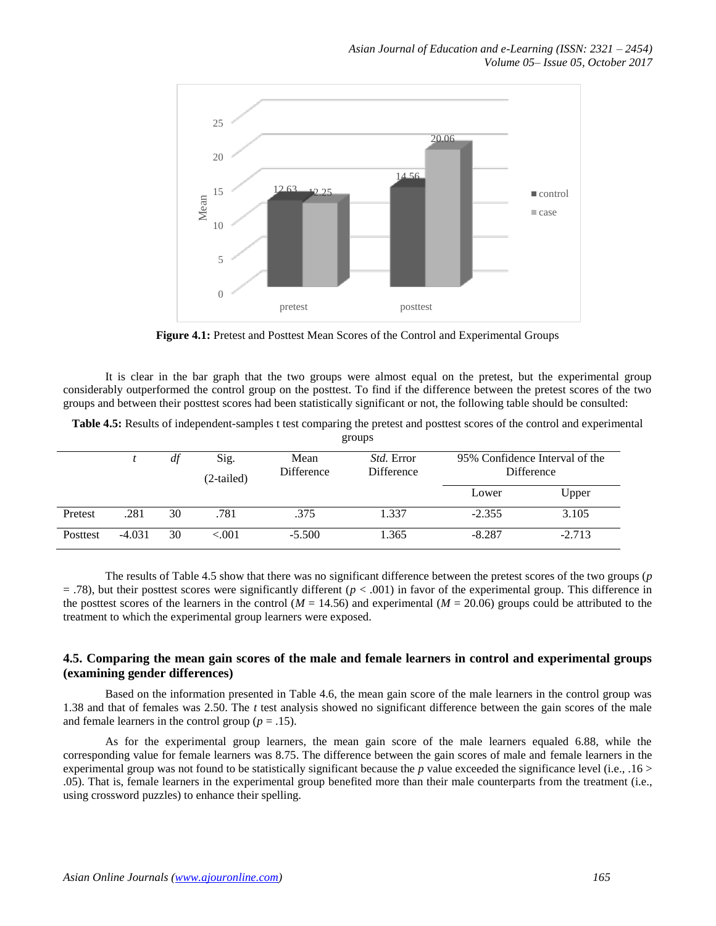

**Figure 4.1:** Pretest and Posttest Mean Scores of the Control and Experimental Groups

It is clear in the bar graph that the two groups were almost equal on the pretest, but the experimental group considerably outperformed the control group on the posttest. To find if the difference between the pretest scores of the two groups and between their posttest scores had been statistically significant or not, the following table should be consulted:

| Table 4.5: Results of independent-samples t test comparing the pretest and posttest scores of the control and experimental |  |
|----------------------------------------------------------------------------------------------------------------------------|--|
| groups                                                                                                                     |  |

|          |          |    |            | ັ                 |                   |                                              |          |
|----------|----------|----|------------|-------------------|-------------------|----------------------------------------------|----------|
|          |          | df | Sig.       | Mean              | <i>Std.</i> Error | 95% Confidence Interval of the<br>Difference |          |
|          |          |    | (2-tailed) | <b>Difference</b> | Difference        |                                              |          |
|          |          |    |            |                   |                   | Lower                                        | Upper    |
| Pretest  | .281     | 30 | .781       | .375              | 1.337             | $-2.355$                                     | 3.105    |
| Posttest | $-4.031$ | 30 | ${<}001$   | $-5.500$          | 1.365             | $-8.287$                                     | $-2.713$ |

The results of Table 4.5 show that there was no significant difference between the pretest scores of the two groups (*p*   $=$  .78), but their posttest scores were significantly different ( $p < .001$ ) in favor of the experimental group. This difference in the posttest scores of the learners in the control ( $M = 14.56$ ) and experimental ( $M = 20.06$ ) groups could be attributed to the treatment to which the experimental group learners were exposed.

# **4.5. Comparing the mean gain scores of the male and female learners in control and experimental groups (examining gender differences)**

Based on the information presented in Table 4.6, the mean gain score of the male learners in the control group was 1.38 and that of females was 2.50. The *t* test analysis showed no significant difference between the gain scores of the male and female learners in the control group ( $p = .15$ ).

As for the experimental group learners, the mean gain score of the male learners equaled 6.88, while the corresponding value for female learners was 8.75. The difference between the gain scores of male and female learners in the experimental group was not found to be statistically significant because the *p* value exceeded the significance level (i.e., .16 > .05). That is, female learners in the experimental group benefited more than their male counterparts from the treatment (i.e., using crossword puzzles) to enhance their spelling.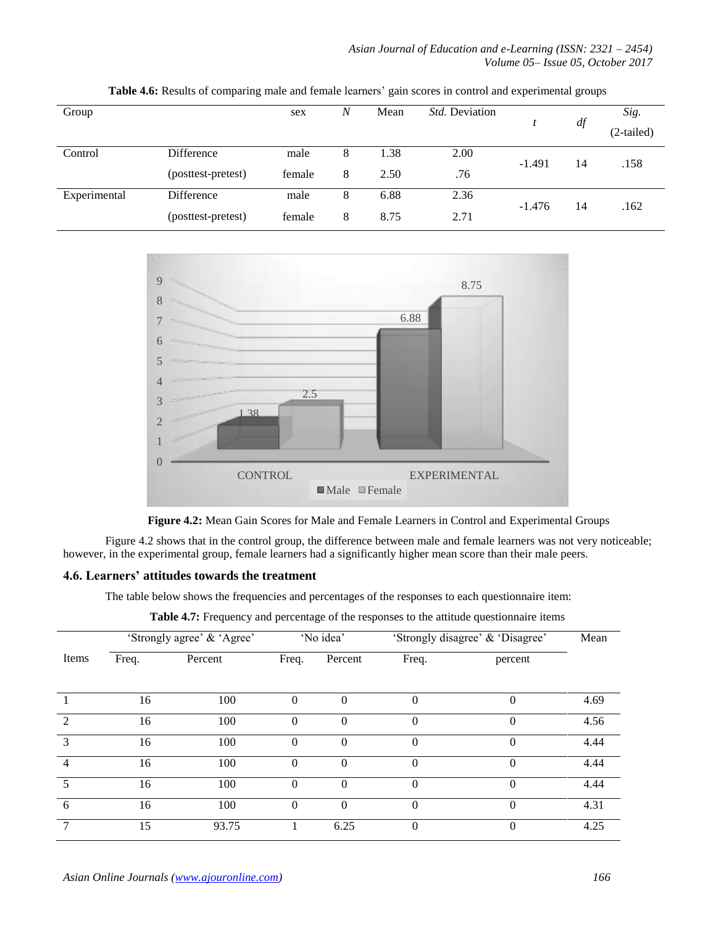*Asian Journal of Education and e-Learning (ISSN: 2321 – 2454) Volume 05– Issue 05, October 2017*

| Group        |                    | sex    | N | Mean | <i>Std.</i> Deviation |          | df | Sig.<br>(2-tailed) |
|--------------|--------------------|--------|---|------|-----------------------|----------|----|--------------------|
| Control      | Difference         | male   | 8 | 1.38 | 2.00                  | $-1.491$ |    |                    |
|              | (posttest-pretest) | female | 8 | 2.50 | .76                   |          | 14 | .158               |
| Experimental | Difference         | male   | 8 | 6.88 | 2.36                  | $-1.476$ |    |                    |
|              | (posttest-pretest) | female | 8 | 8.75 | 2.71                  |          | 14 | .162               |

**Table 4.6:** Results of comparing male and female learners' gain scores in control and experimental groups



**Figure 4.2:** Mean Gain Scores for Male and Female Learners in Control and Experimental Groups

Figure 4.2 shows that in the control group, the difference between male and female learners was not very noticeable; however, in the experimental group, female learners had a significantly higher mean score than their male peers.

# **4.6. Learners' attitudes towards the treatment**

The table below shows the frequencies and percentages of the responses to each questionnaire item:

**Table 4.7:** Frequency and percentage of the responses to the attitude questionnaire items

|               | 'Strongly agree' & 'Agree' |         |          | 'No idea'    | 'Strongly disagree' & 'Disagree' | Mean     |      |
|---------------|----------------------------|---------|----------|--------------|----------------------------------|----------|------|
| Items         | Freq.                      | Percent | Freq.    | Percent      | Freq.                            | percent  |      |
|               | 16                         | 100     | $\Omega$ | $\Omega$     | $\theta$                         | $\theta$ | 4.69 |
| $\mathcal{D}$ | 16                         | 100     | $\theta$ | $\mathbf{0}$ | $\theta$                         | $\Omega$ | 4.56 |
| $\mathcal{R}$ | 16                         | 100     | $\Omega$ | $\Omega$     | $\theta$                         | $\Omega$ | 4.44 |
| 4             | 16                         | 100     | $\Omega$ | $\Omega$     | $\Omega$                         | $\Omega$ | 4.44 |
| 5             | 16                         | 100     | $\theta$ | $\Omega$     | $\theta$                         | $\Omega$ | 4.44 |
| 6             | 16                         | 100     | $\theta$ | $\Omega$     | $\theta$                         | $\Omega$ | 4.31 |
| 7             | 15                         | 93.75   |          | 6.25         | $\theta$                         | $\Omega$ | 4.25 |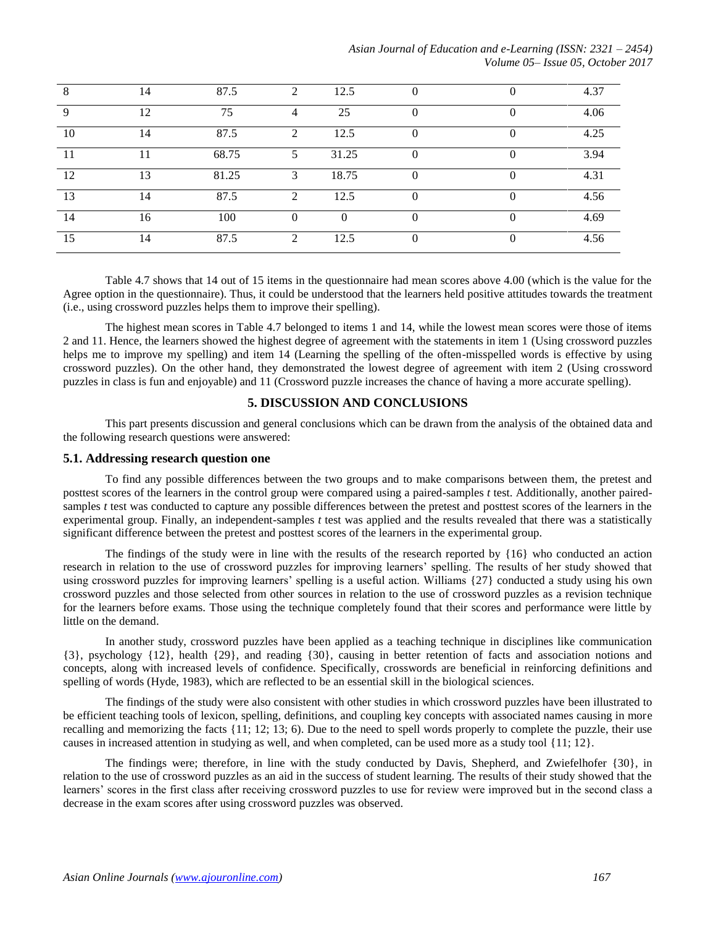*Asian Journal of Education and e-Learning (ISSN: 2321 – 2454) Volume 05– Issue 05, October 2017*

| 8  | 14 | 87.5  | $\bigcirc$   | 12.5     |   |          | 4.37 |
|----|----|-------|--------------|----------|---|----------|------|
| 9  | 12 | 75    | 4            | 25       | 0 | $\theta$ | 4.06 |
| 10 | 14 | 87.5  | ◠            | 12.5     |   |          | 4.25 |
|    | ۱1 | 68.75 |              | 31.25    | O | $\theta$ | 3.94 |
| 12 | 13 | 81.25 | $\mathbf{3}$ | 18.75    |   |          | 4.31 |
| 13 | 14 | 87.5  | $\bigcirc$   | 12.5     | 0 | 0        | 4.56 |
| 14 | 16 | 100   |              | $\theta$ | U |          | 4.69 |
| 15 | 14 | 87.5  | $\bigcirc$   | 12.5     |   |          | 4.56 |

Table 4.7 shows that 14 out of 15 items in the questionnaire had mean scores above 4.00 (which is the value for the Agree option in the questionnaire). Thus, it could be understood that the learners held positive attitudes towards the treatment (i.e., using crossword puzzles helps them to improve their spelling).

The highest mean scores in Table 4.7 belonged to items 1 and 14, while the lowest mean scores were those of items 2 and 11. Hence, the learners showed the highest degree of agreement with the statements in item 1 (Using crossword puzzles helps me to improve my spelling) and item 14 (Learning the spelling of the often-misspelled words is effective by using crossword puzzles). On the other hand, they demonstrated the lowest degree of agreement with item 2 (Using crossword puzzles in class is fun and enjoyable) and 11 (Crossword puzzle increases the chance of having a more accurate spelling).

## **5. DISCUSSION AND CONCLUSIONS**

This part presents discussion and general conclusions which can be drawn from the analysis of the obtained data and the following research questions were answered:

#### **5.1. Addressing research question one**

To find any possible differences between the two groups and to make comparisons between them, the pretest and posttest scores of the learners in the control group were compared using a paired-samples *t* test. Additionally, another pairedsamples *t* test was conducted to capture any possible differences between the pretest and posttest scores of the learners in the experimental group. Finally, an independent-samples *t* test was applied and the results revealed that there was a statistically significant difference between the pretest and posttest scores of the learners in the experimental group.

The findings of the study were in line with the results of the research reported by {16} who conducted an action research in relation to the use of crossword puzzles for improving learners' spelling. The results of her study showed that using crossword puzzles for improving learners' spelling is a useful action. Williams {27} conducted a study using his own crossword puzzles and those selected from other sources in relation to the use of crossword puzzles as a revision technique for the learners before exams. Those using the technique completely found that their scores and performance were little by little on the demand.

In another study, crossword puzzles have been applied as a teaching technique in disciplines like communication {3}, psychology {12}, health {29}, and reading {30}, causing in better retention of facts and association notions and concepts, along with increased levels of confidence. Specifically, crosswords are beneficial in reinforcing definitions and spelling of words (Hyde, 1983), which are reflected to be an essential skill in the biological sciences.

The findings of the study were also consistent with other studies in which crossword puzzles have been illustrated to be efficient teaching tools of lexicon, spelling, definitions, and coupling key concepts with associated names causing in more recalling and memorizing the facts {11; 12; 13; 6). Due to the need to spell words properly to complete the puzzle, their use causes in increased attention in studying as well, and when completed, can be used more as a study tool {11; 12}.

The findings were; therefore, in line with the study conducted by Davis, Shepherd, and Zwiefelhofer {30}, in relation to the use of crossword puzzles as an aid in the success of student learning. The results of their study showed that the learners' scores in the first class after receiving crossword puzzles to use for review were improved but in the second class a decrease in the exam scores after using crossword puzzles was observed.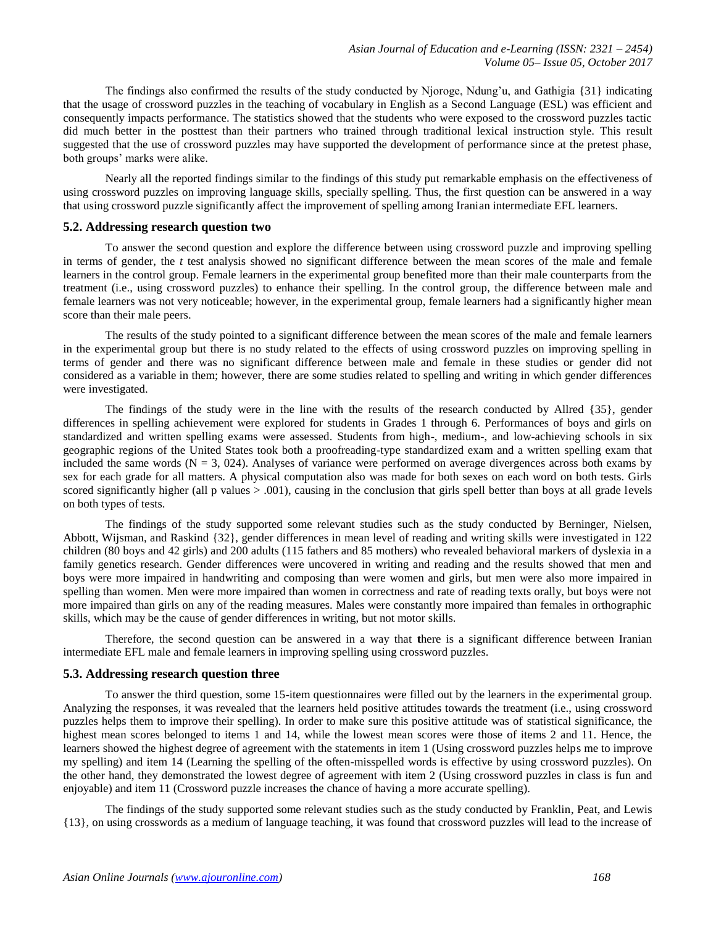The findings also confirmed the results of the study conducted by Njoroge, Ndung'u, and Gathigia {31} indicating that the usage of crossword puzzles in the teaching of vocabulary in English as a Second Language (ESL) was efficient and consequently impacts performance. The statistics showed that the students who were exposed to the crossword puzzles tactic did much better in the posttest than their partners who trained through traditional lexical instruction style. This result suggested that the use of crossword puzzles may have supported the development of performance since at the pretest phase, both groups' marks were alike.

Nearly all the reported findings similar to the findings of this study put remarkable emphasis on the effectiveness of using crossword puzzles on improving language skills, specially spelling. Thus, the first question can be answered in a way that using crossword puzzle significantly affect the improvement of spelling among Iranian intermediate EFL learners.

#### **5.2. Addressing research question two**

To answer the second question and explore the difference between using crossword puzzle and improving spelling in terms of gender, the *t* test analysis showed no significant difference between the mean scores of the male and female learners in the control group. Female learners in the experimental group benefited more than their male counterparts from the treatment (i.e., using crossword puzzles) to enhance their spelling. In the control group, the difference between male and female learners was not very noticeable; however, in the experimental group, female learners had a significantly higher mean score than their male peers.

The results of the study pointed to a significant difference between the mean scores of the male and female learners in the experimental group but there is no study related to the effects of using crossword puzzles on improving spelling in terms of gender and there was no significant difference between male and female in these studies or gender did not considered as a variable in them; however, there are some studies related to spelling and writing in which gender differences were investigated.

The findings of the study were in the line with the results of the research conducted by Allred {35}, gender differences in spelling achievement were explored for students in Grades 1 through 6. Performances of boys and girls on standardized and written spelling exams were assessed. Students from high-, medium-, and low-achieving schools in six geographic regions of the United States took both a proofreading-type standardized exam and a written spelling exam that included the same words  $(N = 3, 024)$ . Analyses of variance were performed on average divergences across both exams by sex for each grade for all matters. A physical computation also was made for both sexes on each word on both tests. Girls scored significantly higher (all p values > .001), causing in the conclusion that girls spell better than boys at all grade levels on both types of tests.

The findings of the study supported some relevant studies such as the study conducted by Berninger, Nielsen, Abbott, Wijsman, and Raskind {32}, gender differences in mean level of reading and writing skills were investigated in 122 children (80 boys and 42 girls) and 200 adults (115 fathers and 85 mothers) who revealed behavioral markers of dyslexia in a family genetics research. Gender differences were uncovered in writing and reading and the results showed that men and boys were more impaired in handwriting and composing than were women and girls, but men were also more impaired in spelling than women. Men were more impaired than women in correctness and rate of reading texts orally, but boys were not more impaired than girls on any of the reading measures. Males were constantly more impaired than females in orthographic skills, which may be the cause of gender differences in writing, but not motor skills.

Therefore, the second question can be answered in a way that **t**here is a significant difference between Iranian intermediate EFL male and female learners in improving spelling using crossword puzzles.

#### **5.3. Addressing research question three**

To answer the third question, some 15-item questionnaires were filled out by the learners in the experimental group. Analyzing the responses, it was revealed that the learners held positive attitudes towards the treatment (i.e., using crossword puzzles helps them to improve their spelling). In order to make sure this positive attitude was of statistical significance, the highest mean scores belonged to items 1 and 14, while the lowest mean scores were those of items 2 and 11. Hence, the learners showed the highest degree of agreement with the statements in item 1 (Using crossword puzzles helps me to improve my spelling) and item 14 (Learning the spelling of the often-misspelled words is effective by using crossword puzzles). On the other hand, they demonstrated the lowest degree of agreement with item 2 (Using crossword puzzles in class is fun and enjoyable) and item 11 (Crossword puzzle increases the chance of having a more accurate spelling).

The findings of the study supported some relevant studies such as the study conducted by Franklin, Peat, and Lewis {13}, on using crosswords as a medium of language teaching, it was found that crossword puzzles will lead to the increase of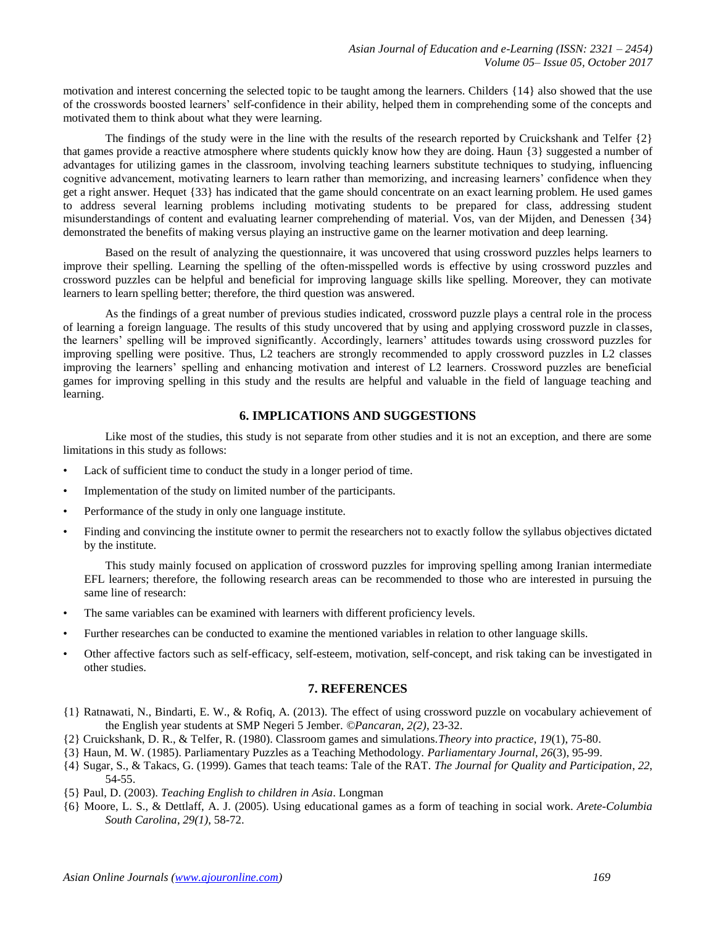motivation and interest concerning the selected topic to be taught among the learners. Childers {14} also showed that the use of the crosswords boosted learners' self-confidence in their ability, helped them in comprehending some of the concepts and motivated them to think about what they were learning.

The findings of the study were in the line with the results of the research reported by Cruickshank and Telfer  $\{2\}$ that games provide a reactive atmosphere where students quickly know how they are doing. Haun {3} suggested a number of advantages for utilizing games in the classroom, involving teaching learners substitute techniques to studying, influencing cognitive advancement, motivating learners to learn rather than memorizing, and increasing learners' confidence when they get a right answer. Hequet {33} has indicated that the game should concentrate on an exact learning problem. He used games to address several learning problems including motivating students to be prepared for class, addressing student misunderstandings of content and evaluating learner comprehending of material. Vos, van der Mijden, and Denessen {34} demonstrated the benefits of making versus playing an instructive game on the learner motivation and deep learning.

Based on the result of analyzing the questionnaire, it was uncovered that using crossword puzzles helps learners to improve their spelling. Learning the spelling of the often-misspelled words is effective by using crossword puzzles and crossword puzzles can be helpful and beneficial for improving language skills like spelling. Moreover, they can motivate learners to learn spelling better; therefore, the third question was answered.

As the findings of a great number of previous studies indicated, crossword puzzle plays a central role in the process of learning a foreign language. The results of this study uncovered that by using and applying crossword puzzle in classes, the learners' spelling will be improved significantly. Accordingly, learners' attitudes towards using crossword puzzles for improving spelling were positive. Thus, L2 teachers are strongly recommended to apply crossword puzzles in L2 classes improving the learners' spelling and enhancing motivation and interest of L2 learners. Crossword puzzles are beneficial games for improving spelling in this study and the results are helpful and valuable in the field of language teaching and learning.

# **6. IMPLICATIONS AND SUGGESTIONS**

Like most of the studies, this study is not separate from other studies and it is not an exception, and there are some limitations in this study as follows:

- Lack of sufficient time to conduct the study in a longer period of time.
- Implementation of the study on limited number of the participants.
- Performance of the study in only one language institute.
- Finding and convincing the institute owner to permit the researchers not to exactly follow the syllabus objectives dictated by the institute.

This study mainly focused on application of crossword puzzles for improving spelling among Iranian intermediate EFL learners; therefore, the following research areas can be recommended to those who are interested in pursuing the same line of research:

- The same variables can be examined with learners with different proficiency levels.
- Further researches can be conducted to examine the mentioned variables in relation to other language skills.
- Other affective factors such as self-efficacy, self-esteem, motivation, self-concept, and risk taking can be investigated in other studies.

# **7. REFERENCES**

- {1} Ratnawati, N., Bindarti, E. W., & Rofiq, A. (2013). The effect of using crossword puzzle on vocabulary achievement of the English year students at SMP Negeri 5 Jember. *©Pancaran, 2(2)*, 23-32.
- {2} Cruickshank, D. R., & Telfer, R. (1980). Classroom games and simulations.*Theory into practice*, *19*(1), 75-80.
- {3} Haun, M. W. (1985). Parliamentary Puzzles as a Teaching Methodology. *Parliamentary Journal*, *26*(3), 95-99.
- {4} Sugar, S., & Takacs, G. (1999). Games that teach teams: Tale of the RAT. *The Journal for Quality and Participation*, *22*, 54-55.
- {5} Paul, D. (2003). *Teaching English to children in Asia*. Longman
- {6} Moore, L. S., & Dettlaff, A. J. (2005). Using educational games as a form of teaching in social work. *Arete-Columbia South Carolina*, *29(1)*, 58-72.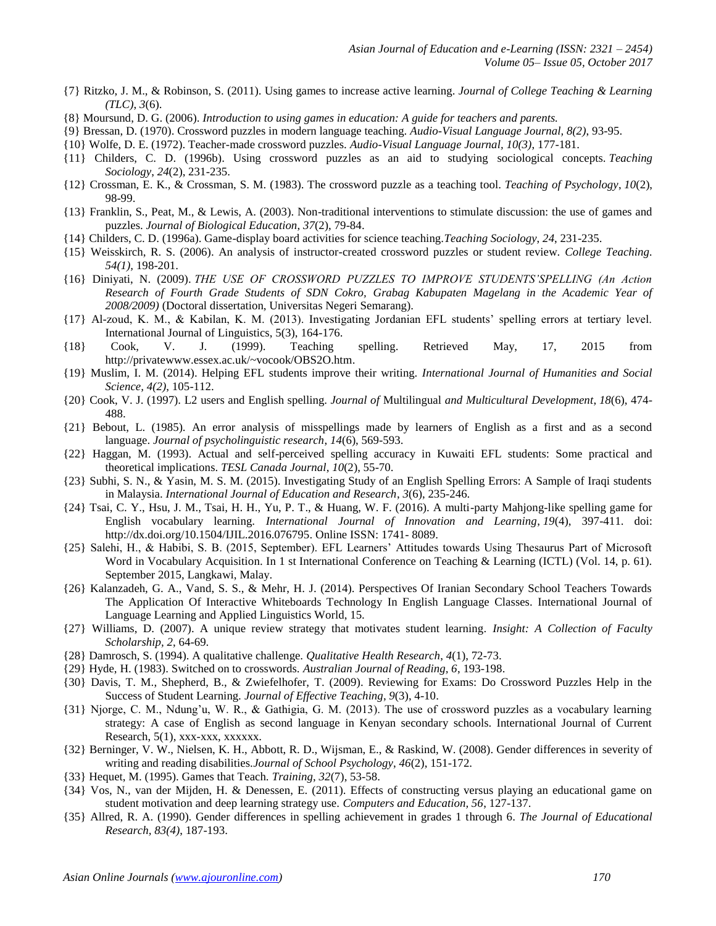- {7} Ritzko, J. M., & Robinson, S. (2011). Using games to increase active learning. *Journal of College Teaching & Learning (TLC)*, *3*(6).
- {8} Moursund, D. G. (2006). *Introduction to using games in education: A guide for teachers and parents.*
- {9} Bressan, D. (1970). Crossword puzzles in modern language teaching. *Audio-Visual Language Journal, 8(2)*, 93-95.
- {10} Wolfe, D. E. (1972). Teacher-made crossword puzzles. *Audio-Visual Language Journal, 10(3)*, 177-181.
- {11} Childers, C. D. (1996b). Using crossword puzzles as an aid to studying sociological concepts. *Teaching Sociology*, *24*(2), 231-235.
- {12} Crossman, E. K., & Crossman, S. M. (1983). The crossword puzzle as a teaching tool. *Teaching of Psychology*, *10*(2), 98-99.
- {13} Franklin, S., Peat, M., & Lewis, A. (2003). Non-traditional interventions to stimulate discussion: the use of games and puzzles. *Journal of Biological Education*, *37*(2), 79-84.
- {14} Childers, C. D. (1996a). Game-display board activities for science teaching.*Teaching Sociology*, *24*, 231-235.
- {15} Weisskirch, R. S. (2006). An analysis of instructor-created crossword puzzles or student review. *College Teaching. 54(1),* 198-201.
- {16} Diniyati, N. (2009). *THE USE OF CROSSWORD PUZZLES TO IMPROVE STUDENTS'SPELLING (An Action Research of Fourth Grade Students of SDN Cokro, Grabag Kabupaten Magelang in the Academic Year of 2008/2009)* (Doctoral dissertation, Universitas Negeri Semarang).
- {17} Al-zoud, K. M., & Kabilan, K. M. (2013). Investigating Jordanian EFL students' spelling errors at tertiary level. International Journal of Linguistics, 5(3), 164-176.
- {18} Cook, V. J. (1999). Teaching spelling. Retrieved May, 17, 2015 from [http://privatewww.essex.ac.uk/~vocook/OBS2O.htm.](http://privatewww.essex.ac.uk/~vocook/OBS2O.htm)
- {19} Muslim, I. M. (2014). Helping EFL students improve their writing. *International Journal of Humanities and Social Science, 4(2)*, 105-112.
- {20} Cook, V. J. (1997). L2 users and English spelling. *Journal of* Multilingual *and Multicultural Development*, *18*(6), 474- 488.
- {21} Bebout, L. (1985). An error analysis of misspellings made by learners of English as a first and as a second language. *Journal of psycholinguistic research*, *14*(6), 569-593.
- {22} Haggan, M. (1993). Actual and self-perceived spelling accuracy in Kuwaiti EFL students: Some practical and theoretical implications. *TESL Canada Journal*, *10*(2), 55-70.
- {23} Subhi, S. N., & Yasin, M. S. M. (2015). Investigating Study of an English Spelling Errors: A Sample of Iraqi students in Malaysia. *International Journal of Education and Research*, *3*(6), 235-246.
- {24} Tsai, C. Y., Hsu, J. M., Tsai, H. H., Yu, P. T., & Huang, W. F. (2016). A multi-party Mahjong-like spelling game for English vocabulary learning. *International Journal of Innovation and Learning*, *19*(4), 397-411. doi: [http://dx.doi.org/10.1504/IJIL.2016.076795.](http://dx.doi.org/10.1504/IJIL.2016.076795) Online ISSN: 1741- 8089.
- {25} Salehi, H., & Habibi, S. B. (2015, September). EFL Learners' Attitudes towards Using Thesaurus Part of Microsoft Word in Vocabulary Acquisition. In 1 st International Conference on Teaching & Learning (ICTL) (Vol. 14, p. 61). September 2015, Langkawi, Malay.
- {26} Kalanzadeh, G. A., Vand, S. S., & Mehr, H. J. (2014). Perspectives Of Iranian Secondary School Teachers Towards The Application Of Interactive Whiteboards Technology In English Language Classes. International Journal of Language Learning and Applied Linguistics World, 15.
- {27} Williams, D. (2007). A unique review strategy that motivates student learning. *Insight: A Collection of Faculty Scholarship, 2*, 64-69.
- {28} Damrosch, S. (1994). A qualitative challenge. *Qualitative Health Research*, *4*(1), 72-73.
- {29} Hyde, H. (1983). Switched on to crosswords. *Australian Journal of Reading, 6*, 193-198.
- {30} Davis, T. M., Shepherd, B., & Zwiefelhofer, T. (2009). Reviewing for Exams: Do Crossword Puzzles Help in the Success of Student Learning. *Journal of Effective Teaching*, *9*(3), 4-10.
- {31} Njorge, C. M., Ndung'u, W. R., & Gathigia, G. M. (2013). The use of crossword puzzles as a vocabulary learning strategy: A case of English as second language in Kenyan secondary schools. International Journal of Current Research, 5(1), xxx-xxx, xxxxxx.
- {32} Berninger, V. W., Nielsen, K. H., Abbott, R. D., Wijsman, E., & Raskind, W. (2008). Gender differences in severity of writing and reading disabilities.*Journal of School Psychology*, *46*(2), 151-172.
- {33} Hequet, M. (1995). Games that Teach. *Training*, *32*(7), 53-58.
- {34} Vos, N., van der Mijden, H. & Denessen, E. (2011). Effects of constructing versus playing an educational game on student motivation and deep learning strategy use. *Computers and Education, 56*, 127-137.
- {35} Allred, R. A. (1990). Gender differences in spelling achievement in grades 1 through 6. *The Journal of Educational Research, 83(4)*, 187-193.